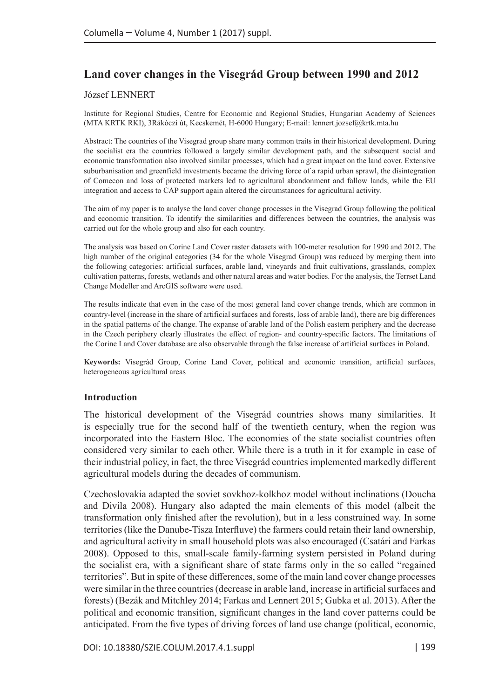# **Land cover changes in the Visegrád Group between 1990 and 2012**

#### József LENNERT

Institute for Regional Studies, Centre for Economic and Regional Studies, Hungarian Academy of Sciences (MTA KRTK RKI), 3Rákóczi út, Kecskemét, H-6000 Hungary; E-mail: lennert.jozsef@krtk.mta.hu

Abstract: The countries of the Visegrad group share many common traits in their historical development. During the socialist era the countries followed a largely similar development path, and the subsequent social and economic transformation also involved similar processes, which had a great impact on the land cover. Extensive suburbanisation and greenfield investments became the driving force of a rapid urban sprawl, the disintegration of Comecon and loss of protected markets led to agricultural abandonment and fallow lands, while the EU integration and access to CAP support again altered the circumstances for agricultural activity.

The aim of my paper is to analyse the land cover change processes in the Visegrad Group following the political and economic transition. To identify the similarities and differences between the countries, the analysis was carried out for the whole group and also for each country.

The analysis was based on Corine Land Cover raster datasets with 100-meter resolution for 1990 and 2012. The high number of the original categories (34 for the whole Visegrad Group) was reduced by merging them into the following categories: artificial surfaces, arable land, vineyards and fruit cultivations, grasslands, complex cultivation patterns, forests, wetlands and other natural areas and water bodies. For the analysis, the Terrset Land Change Modeller and ArcGIS software were used.

The results indicate that even in the case of the most general land cover change trends, which are common in country-level (increase in the share of artificial surfaces and forests, loss of arable land), there are big differences in the spatial patterns of the change. The expanse of arable land of the Polish eastern periphery and the decrease in the Czech periphery clearly illustrates the effect of region- and country-specific factors. The limitations of the Corine Land Cover database are also observable through the false increase of artificial surfaces in Poland.

**Keywords:** Visegrád Group, Corine Land Cover, political and economic transition, artificial surfaces, heterogeneous agricultural areas

#### **Introduction**

The historical development of the Visegrád countries shows many similarities. It is especially true for the second half of the twentieth century, when the region was incorporated into the Eastern Bloc. The economies of the state socialist countries often considered very similar to each other. While there is a truth in it for example in case of their industrial policy, in fact, the three Visegrád countries implemented markedly different agricultural models during the decades of communism.

Czechoslovakia adapted the soviet sovkhoz-kolkhoz model without inclinations (Doucha and Divila 2008). Hungary also adapted the main elements of this model (albeit the transformation only finished after the revolution), but in a less constrained way. In some territories (like the Danube-Tisza Interfluve) the farmers could retain their land ownership, and agricultural activity in small household plots was also encouraged (Csatári and Farkas 2008). Opposed to this, small-scale family-farming system persisted in Poland during the socialist era, with a significant share of state farms only in the so called "regained territories". But in spite of these differences, some of the main land cover change processes were similar in the three countries (decrease in arable land, increase in artificial surfaces and forests) (Bezák and Mitchley 2014; Farkas and Lennert 2015; Gubka et al. 2013). After the political and economic transition, significant changes in the land cover patterns could be anticipated. From the five types of driving forces of land use change (political, economic,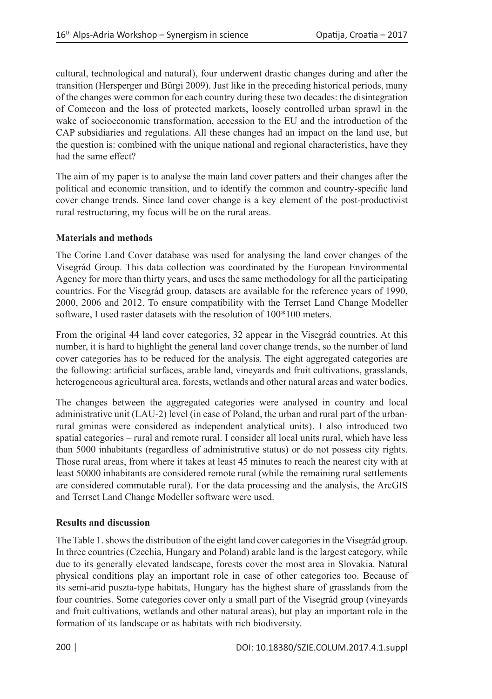cultural, technological and natural), four underwent drastic changes during and after the transition (Hersperger and Bürgi 2009). Just like in the preceding historical periods, many of the changes were common for each country during these two decades: the disintegration of Comecon and the loss of protected markets, loosely controlled urban sprawl in the wake of socioeconomic transformation, accession to the EU and the introduction of the CAP subsidiaries and regulations. All these changes had an impact on the land use, but the question is: combined with the unique national and regional characteristics, have they had the same effect?

The aim of my paper is to analyse the main land cover patters and their changes after the political and economic transition, and to identify the common and country-specific land cover change trends. Since land cover change is a key element of the post-productivist rural restructuring, my focus will be on the rural areas.

## **Materials and methods**

The Corine Land Cover database was used for analysing the land cover changes of the Visegrád Group. This data collection was coordinated by the European Environmental Agency for more than thirty years, and uses the same methodology for all the participating countries. For the Visegrád group, datasets are available for the reference years of 1990, 2000, 2006 and 2012. To ensure compatibility with the Terrset Land Change Modeller software, I used raster datasets with the resolution of 100\*100 meters.

From the original 44 land cover categories, 32 appear in the Visegrád countries. At this number, it is hard to highlight the general land cover change trends, so the number of land cover categories has to be reduced for the analysis. The eight aggregated categories are the following: artificial surfaces, arable land, vineyards and fruit cultivations, grasslands, heterogeneous agricultural area, forests, wetlands and other natural areas and water bodies.

The changes between the aggregated categories were analysed in country and local administrative unit (LAU-2) level (in case of Poland, the urban and rural part of the urbanrural gminas were considered as independent analytical units). I also introduced two spatial categories – rural and remote rural. I consider all local units rural, which have less than 5000 inhabitants (regardless of administrative status) or do not possess city rights. Those rural areas, from where it takes at least 45 minutes to reach the nearest city with at least 50000 inhabitants are considered remote rural (while the remaining rural settlements are considered commutable rural). For the data processing and the analysis, the ArcGIS and Terrset Land Change Modeller software were used.

## **Results and discussion**

The Table 1. shows the distribution of the eight land cover categories in the Visegrád group. In three countries (Czechia, Hungary and Poland) arable land is the largest category, while due to its generally elevated landscape, forests cover the most area in Slovakia. Natural physical conditions play an important role in case of other categories too. Because of its semi-arid puszta-type habitats, Hungary has the highest share of grasslands from the four countries. Some categories cover only a small part of the Visegrád group (vineyards and fruit cultivations, wetlands and other natural areas), but play an important role in the formation of its landscape or as habitats with rich biodiversity.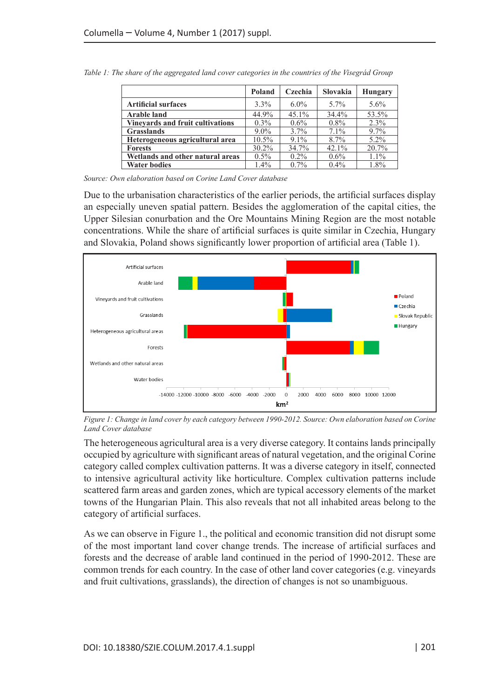|                                         | Poland  | Czechia | Slovakia | <b>Hungary</b> |
|-----------------------------------------|---------|---------|----------|----------------|
| <b>Artificial surfaces</b>              | 3.3%    | $6.0\%$ | 5.7%     | 5.6%           |
| <b>Arable land</b>                      | 44.9%   | 45.1%   | 34.4%    | 53.5%          |
| <b>Vinevards and fruit cultivations</b> | $0.3\%$ | 0.6%    | $0.8\%$  | 2.3%           |
| <b>Grasslands</b>                       | $9.0\%$ | 3.7%    | 7.1%     | 9.7%           |
| Heterogeneous agricultural area         | 10.5%   | $9.1\%$ | 8.7%     | $5.2\%$        |
| <b>Forests</b>                          | 30.2%   | 34.7%   | 42.1%    | 20.7%          |
| Wetlands and other natural areas        | $0.5\%$ | $0.2\%$ | $0.6\%$  | $1.1\%$        |
| <b>Water bodies</b>                     | 1.4%    | $0.7\%$ | $0.4\%$  | 1.8%           |

*Table 1: The share of the aggregated land cover categories in the countries of the Visegrád Group*

*Source: Own elaboration based on Corine Land Cover database*

Due to the urbanisation characteristics of the earlier periods, the artificial surfaces display an especially uneven spatial pattern. Besides the agglomeration of the capital cities, the Upper Silesian conurbation and the Ore Mountains Mining Region are the most notable concentrations. While the share of artificial surfaces is quite similar in Czechia, Hungary and Slovakia, Poland shows significantly lower proportion of artificial area (Table 1).



*Figure 1: Change in land cover by each category between 1990-2012. Source: Own elaboration based on Corine Land Cover database*

The heterogeneous agricultural area is a very diverse category. It contains lands principally occupied by agriculture with significant areas of natural vegetation, and the original Corine category called complex cultivation patterns. It was a diverse category in itself, connected to intensive agricultural activity like horticulture. Complex cultivation patterns include scattered farm areas and garden zones, which are typical accessory elements of the market towns of the Hungarian Plain. This also reveals that not all inhabited areas belong to the category of artificial surfaces.

As we can observe in Figure 1., the political and economic transition did not disrupt some of the most important land cover change trends. The increase of artificial surfaces and forests and the decrease of arable land continued in the period of 1990-2012. These are common trends for each country. In the case of other land cover categories (e.g. vineyards and fruit cultivations, grasslands), the direction of changes is not so unambiguous.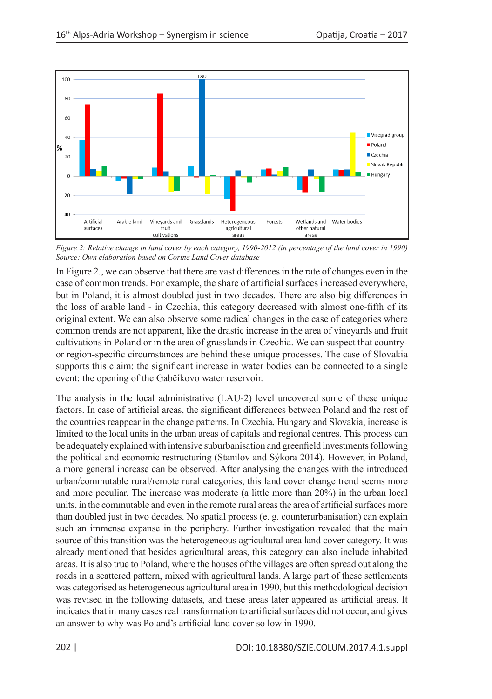

*Figure 2: Relative change in land cover by each category, 1990-2012 (in percentage of the land cover in 1990) Source: Own elaboration based on Corine Land Cover database*

In Figure 2., we can observe that there are vast differences in the rate of changes even in the case of common trends. For example, the share of artificial surfaces increased everywhere, but in Poland, it is almost doubled just in two decades. There are also big differences in the loss of arable land - in Czechia, this category decreased with almost one-fifth of its original extent. We can also observe some radical changes in the case of categories where common trends are not apparent, like the drastic increase in the area of vineyards and fruit cultivations in Poland or in the area of grasslands in Czechia. We can suspect that countryor region-specific circumstances are behind these unique processes. The case of Slovakia supports this claim: the significant increase in water bodies can be connected to a single event: the opening of the Gabčíkovo water reservoir.

The analysis in the local administrative (LAU-2) level uncovered some of these unique factors. In case of artificial areas, the significant differences between Poland and the rest of the countries reappear in the change patterns. In Czechia, Hungary and Slovakia, increase is limited to the local units in the urban areas of capitals and regional centres. This process can be adequately explained with intensive suburbanisation and greenfield investments following the political and economic restructuring (Stanilov and Sýkora 2014). However, in Poland, a more general increase can be observed. After analysing the changes with the introduced urban/commutable rural/remote rural categories, this land cover change trend seems more and more peculiar. The increase was moderate (a little more than 20%) in the urban local units, in the commutable and even in the remote rural areas the area of artificial surfaces more than doubled just in two decades. No spatial process (e. g. counterurbanisation) can explain such an immense expanse in the periphery. Further investigation revealed that the main source of this transition was the heterogeneous agricultural area land cover category. It was already mentioned that besides agricultural areas, this category can also include inhabited areas. It is also true to Poland, where the houses of the villages are often spread out along the roads in a scattered pattern, mixed with agricultural lands. A large part of these settlements was categorised as heterogeneous agricultural area in 1990, but this methodological decision was revised in the following datasets, and these areas later appeared as artificial areas. It indicates that in many cases real transformation to artificial surfaces did not occur, and gives an answer to why was Poland's artificial land cover so low in 1990.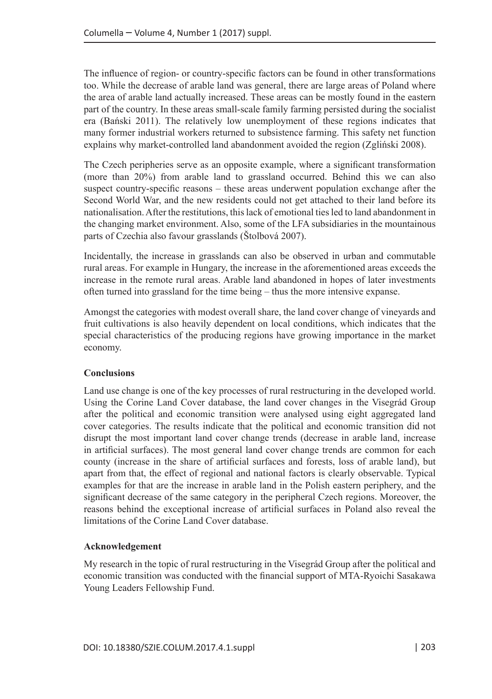The influence of region- or country-specific factors can be found in other transformations too. While the decrease of arable land was general, there are large areas of Poland where the area of arable land actually increased. These areas can be mostly found in the eastern part of the country. In these areas small-scale family farming persisted during the socialist era (Bański 2011). The relatively low unemployment of these regions indicates that many former industrial workers returned to subsistence farming. This safety net function explains why market-controlled land abandonment avoided the region (Zgliński 2008).

The Czech peripheries serve as an opposite example, where a significant transformation (more than 20%) from arable land to grassland occurred. Behind this we can also suspect country-specific reasons – these areas underwent population exchange after the Second World War, and the new residents could not get attached to their land before its nationalisation. After the restitutions, this lack of emotional ties led to land abandonment in the changing market environment. Also, some of the LFA subsidiaries in the mountainous parts of Czechia also favour grasslands (Štolbová 2007).

Incidentally, the increase in grasslands can also be observed in urban and commutable rural areas. For example in Hungary, the increase in the aforementioned areas exceeds the increase in the remote rural areas. Arable land abandoned in hopes of later investments often turned into grassland for the time being – thus the more intensive expanse.

Amongst the categories with modest overall share, the land cover change of vineyards and fruit cultivations is also heavily dependent on local conditions, which indicates that the special characteristics of the producing regions have growing importance in the market economy.

## **Conclusions**

Land use change is one of the key processes of rural restructuring in the developed world. Using the Corine Land Cover database, the land cover changes in the Visegrád Group after the political and economic transition were analysed using eight aggregated land cover categories. The results indicate that the political and economic transition did not disrupt the most important land cover change trends (decrease in arable land, increase in artificial surfaces). The most general land cover change trends are common for each county (increase in the share of artificial surfaces and forests, loss of arable land), but apart from that, the effect of regional and national factors is clearly observable. Typical examples for that are the increase in arable land in the Polish eastern periphery, and the significant decrease of the same category in the peripheral Czech regions. Moreover, the reasons behind the exceptional increase of artificial surfaces in Poland also reveal the limitations of the Corine Land Cover database.

## **Acknowledgement**

My research in the topic of rural restructuring in the Visegrád Group after the political and economic transition was conducted with the financial support of MTA-Ryoichi Sasakawa Young Leaders Fellowship Fund.